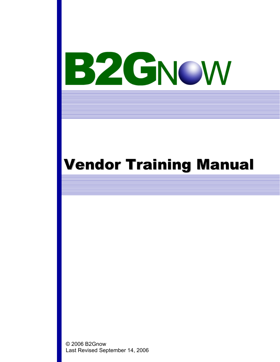## Vendor Training Manual

© 2006 B2Gnow Last Revised September 14, 2006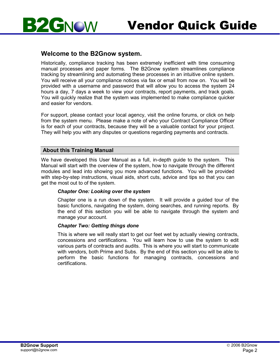

#### **Welcome to the B2Gnow system.**

GNOW

**By** 

Historically, compliance tracking has been extremely inefficient with time consuming manual processes and paper forms. The B2Gnow system streamlines compliance tracking by streamlining and automating these processes in an intuitive online system. You will receive all your compliance notices via fax or email from now on. You will be provided with a username and password that will allow you to access the system 24 hours a day, 7 days a week to view your contracts, report payments, and track goals. You will quickly realize that the system was implemented to make compliance quicker and easier for vendors.

For support, please contact your local agency, visit the online forums, or click on help from the system menu. Please make a note of who your Contract Compliance Officer is for each of your contracts, because they will be a valuable contact for your project. They will help you with any disputes or questions regarding payments and contracts.

#### **About this Training Manual**

We have developed this User Manual as a full, in-depth guide to the system. This Manual will start with the overview of the system, how to navigate through the different modules and lead into showing you more advanced functions. You will be provided with step-by-step instructions, visual aids, short cuts, advice and tips so that you can get the most out to of the system.

#### *Chapter One: Looking over the system*

Chapter one is a run down of the system. It will provide a guided tour of the basic functions, navigating the system, doing searches, and running reports. By the end of this section you will be able to navigate through the system and manage your account.

#### *Chapter Two: Getting things done*

This is where we will really start to get our feet wet by actually viewing contracts, concessions and certifications. You will learn how to use the system to edit various parts of contracts and audits. This is where you will start to communicate with vendors, both Prime and Subs. By the end of this section you will be able to perform the basic functions for managing contracts, concessions and certifications.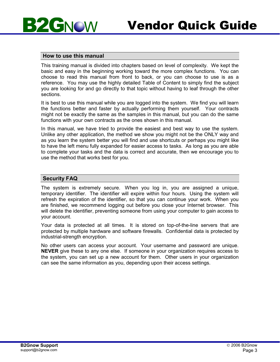

#### **How to use this manual**

This training manual is divided into chapters based on level of complexity. We kept the basic and easy in the beginning working toward the more complex functions. You can choose to read this manual from front to back, or you can choose to use is as a reference. You may use the highly detailed Table of Content to simply find the subject you are looking for and go directly to that topic without having to leaf through the other sections.

It is best to use this manual while you are logged into the system. We find you will learn the functions better and faster by actually performing them yourself. Your contracts might not be exactly the same as the samples in this manual, but you can do the same functions with your own contracts as the ones shown in this manual.

In this manual, we have tried to provide the easiest and best way to use the system. Unlike any other application, the method we show you might not be the ONLY way and as you learn the system better you will find and use shortcuts or perhaps you might like to have the left menu fully expanded for easier access to tasks. As long as you are able to complete your tasks and the data is correct and accurate, then we encourage you to use the method that works best for you.

#### **Security FAQ**

The system is extremely secure. When you log in, you are assigned a unique, temporary identifier. The identifier will expire within four hours. Using the system will refresh the expiration of the identifier, so that you can continue your work. When you are finished, we recommend logging out before you close your Internet browser. This will delete the identifier, preventing someone from using your computer to gain access to your account.

Your data is protected at all times. It is stored on top-of-the-line servers that are protected by multiple hardware and software firewalls. Confidential data is protected by industrial-strength encryption.

No other users can access your account. Your username and password are unique. **NEVER** give these to any one else. If someone in your organization requires access to the system, you can set up a new account for them. Other users in your organization can see the same information as you, depending upon their access settings.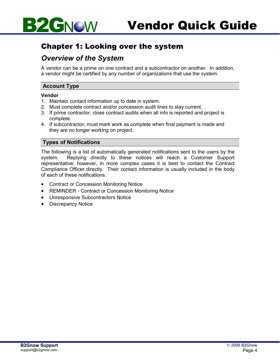

#### Chapter 1: Looking over the system

#### *Overview of the System*

A vendor can be a prime on one contract and a subcontractor on another. In addition, a vendor might be certified by any number of organizations that use the system.

#### **Account Type**

#### **Vendor**

- 1. Maintain contact information up to date in system.
- 2. Must complete contract and/or concession audit lines to stay current.
- 3. If prime contractor, close contract audits when all info is reported and project is complete.
- 4. If subcontractor, must mark work as complete when final payment is made and they are no longer working on project.

#### **Types of Notifications**

The following is a list of automatically generated notifications sent to the users by the system. Replying directly to these notices will reach a Customer Support representative; however, in more complex cases it is best to contact the Contract Compliance Officer directly. Their contact information is usually included in the body of each of these notifications.

- Contract or Concession Monitoring Notice
- REMINDER Contract or Concession Monitoring Notice
- Unresponsive Subcontractors Notice
- Discrepancy Notice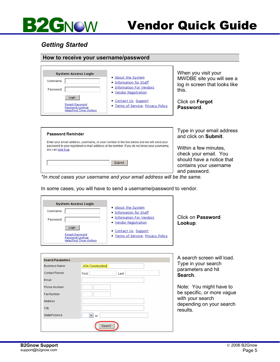#### *Getting Started*

#### **How to receive your username/password**

| <b>System Access Login</b><br>Username:<br>Password:                                  | About the System<br>. Information for Staff<br>. Information For Vendors<br>• Vendor Registration | When you<br><b>MWDBE</b> s<br>log in scre<br>this. |
|---------------------------------------------------------------------------------------|---------------------------------------------------------------------------------------------------|----------------------------------------------------|
| Login<br><b>Forgot Password</b><br>Password Lookup<br><b>Help/First Time Visitors</b> | • Contact Us, Support<br>. Terms of Service, Privacy Policy                                       | Click on $F$<br>Password                           |

visit your ite you will see a en that looks like

orgot **Password**.

| <b>Password Reminder</b>                                                                                                                                                                                        |        |
|-----------------------------------------------------------------------------------------------------------------------------------------------------------------------------------------------------------------|--------|
| Enter your email address, username, or user number in the box below and we will send your<br>password to your registered e-mail address or fax number. If you do not know your username,<br>you can look it up. |        |
|                                                                                                                                                                                                                 | Suhmit |

Type in your email address and click on **Submit**.

Within a few minutes, check your email. You should have a notice that contains your username and password.

*\*In most cases your username and your email address will be the same.* 

In some cases, you will have to send a username/password to vendor.

 $Last$ 

| <b>System Access Login</b>                                                   |                                    |  |
|------------------------------------------------------------------------------|------------------------------------|--|
| Username:                                                                    | • About the System                 |  |
|                                                                              | • Information for Staff            |  |
| Password:                                                                    | • Information For Vendors          |  |
|                                                                              | • Vendor Registration              |  |
| Loain                                                                        | • Contact Us, Support              |  |
| <b>Forgot Password</b><br>Password Lookup<br><b>Help/First Time Visitors</b> | . Terms of Service, Privacy Policy |  |

JOA Construction

 $\boxed{\mathbf{v}}$  or

Search

First<sup>-</sup>

Click on **Password Lookup**.

A search screen will load. Type in your search parameters and hit **Search**.

Note: You might have to be specific, or more vague with your search depending on your search results.

Search Parameters Business Name

Contact Person

State/Province

Email Phone Number Fax Number Address City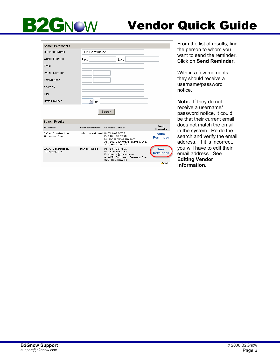### Vendor Quick Guide

| <b>Search Parameters</b>             |                         |                                                                                                                                     |                         |
|--------------------------------------|-------------------------|-------------------------------------------------------------------------------------------------------------------------------------|-------------------------|
| <b>Business Name</b>                 | <b>JOA</b> Construction |                                                                                                                                     |                         |
| Contact Person                       | First:                  | Last:                                                                                                                               |                         |
| Email                                |                         |                                                                                                                                     |                         |
| Phone Number                         |                         |                                                                                                                                     |                         |
| Fax Number                           |                         |                                                                                                                                     |                         |
| Address                              |                         |                                                                                                                                     |                         |
| City                                 |                         |                                                                                                                                     |                         |
| State/Province                       | v<br>or                 |                                                                                                                                     |                         |
|                                      |                         | Search                                                                                                                              |                         |
| <b>Search Results</b>                |                         |                                                                                                                                     |                         |
| <b>Business</b>                      | <b>Contact Person</b>   | <b>Contact Details</b>                                                                                                              | Send<br>Reminder        |
| J.O.A. Construction<br>Company, Inc. |                         | Johnson Akinwusi P: 713-490-7591<br>F: 713-490-7595<br>E: johnson@joacon.com<br>A: 4151 Southwest Freeway, Ste.<br>320, Houston, TX | Send<br><b>Reminder</b> |
| J.O.A. Construction<br>Company, Inc. | Renee Phelps            | P: 713-490-7591<br>F: 713-490-7595<br>E: rphelps@joacon.com<br>A: 4151 Southwest Freeway, Ste.<br>320, Houston, TX                  | Send<br><b>Reminder</b> |
|                                      |                         |                                                                                                                                     | $\triangle$ Top         |

From the list of results, find the person to whom you want to send the reminder. Click on **Send Reminder**.

With in a few moments, they should receive a username/password notice.

**Note:** If they do not receive a username/ password notice, it could be that their current email does not match the email in the system. Re do the search and verify the email address. If it is incorrect, you will have to edit their email address. See **Editing Vendor Information.**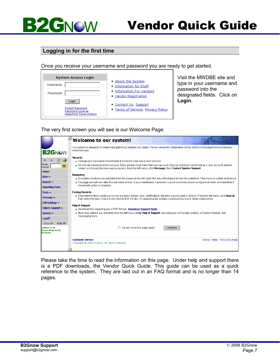

#### **Logging in for the first time**

Once you receive your username and password you are ready to get started.

| <b>System Access Login</b>                |                                    |
|-------------------------------------------|------------------------------------|
| Username:                                 | About the System                   |
|                                           | • Information for Staff            |
| Password:                                 | . Information For Vendors          |
|                                           | • Vendor Registration              |
| Login                                     | • Contact Us, Support              |
| <b>Forgot Password</b><br>Password Lookup | . Terms of Service, Privacy Policy |
| <b>Help/First Time Visitors</b>           |                                    |

Visit the MWDBE site and type in your username and password into the designated fields. Click on **Login**.

The very first screen you will see is our Welcome Page.

|                                                                            | Welcome to our system!                                                                                                                                                                                                                                                                                                                               |
|----------------------------------------------------------------------------|------------------------------------------------------------------------------------------------------------------------------------------------------------------------------------------------------------------------------------------------------------------------------------------------------------------------------------------------------|
| <b>B2GNOW</b>                                                              | Our system is designed to make data gathering simplier and faster. Please review the information below before continuing to ensure that you<br>maximize your                                                                                                                                                                                         |
| G<br>∥Quick<br>GO.<br>Search:                                              | Security<br>» Change your password immediately if someone else set up your account.<br>» Do not use someone else's account. Every person must have their own account. If you do not know how to set up a user account, please<br>contact us through the messaging system: from the left menu, click Message, then Contact System Support.            |
| <b>Home</b><br>View »<br>Search »<br><b>Reporting Tools</b>                | Navigating<br>» All system functions are available from the menu on the left. Just click any of the topics to view the subitems. This menu is visible at all times.<br>» The page you will see after this welcome screen is your dashboard. It provides a guick summary of your assigned records, and identifies if<br>immediate action is required. |
| Tools »<br>Message »                                                       | <b>Finding Records</b><br>» If you need to find a particular record (contract, vendor, user, certification), the best place to start is Search. From the left menu, click Search,<br>then select the type of record you need to find. For tips on searching the system, download the Quick Guide listed below.                                       |
| <b>Edit Settings »</b><br><b>Help &amp; Support »</b><br>System »          | <b>Help &amp; Support</b><br>» Download the support quide in PDF format - Download Support Guide.<br>» More help options are available from the left menu under <b>Help &amp; Support</b> , including our online help system, a Forums module, and                                                                                                   |
| Logoff<br>Hide All<br>Show All<br>Logged on as:<br>Dawn Raymond,<br>B2Gnow | messaging tools.<br>Continue<br>Do not show this page again.                                                                                                                                                                                                                                                                                         |
|                                                                            | <b>Customer Service</b><br>Home   Help   Print This Page<br>Copyright @ 2006 B2Gnow. All rights reserved.                                                                                                                                                                                                                                            |
|                                                                            |                                                                                                                                                                                                                                                                                                                                                      |

Please take the time to read the information on this page. Under help and support there is a PDF downloads, the Vendor Quick Guide. This guide can be used as a quick reference to the system. They are laid out in an FAQ format and is no longer than 14 pages.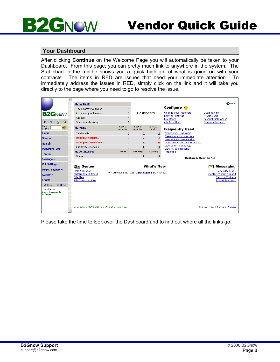#### **Your Dashboard**

**B2GNOW** 

After clicking **Continue** on the Welcome Page you will automatically be taken to your Dashboard. From this page, you can pretty much link to anywhere in the system. The Stat chart in the middle shows you a quick highlight of what is going on with your contracts. The items in RED are issues that need your immediate attention. To immediately address the issues in RED, simply click on the link and it will take you directly to the page where you need to go to resolve the issue.

|                                          | <b>My Contracts</b>                           |                                                    |                  |                         |                                                         | <b>PHELP</b>                                |
|------------------------------------------|-----------------------------------------------|----------------------------------------------------|------------------|-------------------------|---------------------------------------------------------|---------------------------------------------|
|                                          | Total active (business)                       |                                                    |                  |                         | Configure co                                            |                                             |
| <b>B2GNOW</b>                            | Active assigned to me                         | $\Omega$                                           | Dashboard        |                         | Change Your Password                                    | <b>Business Info</b>                        |
|                                          | Audited                                       |                                                    |                  |                         | <b>Edit Your Settings</b><br><b>List Users</b>          | Profile Setup<br><b>Account Preferences</b> |
| a.<br>Þ<br>⇔<br>$\Rightarrow$            | Soon to end (3 mo)                            | $\overline{2}$                                     |                  |                         | Add New User                                            | Commodity Codes                             |
| Quick<br>GO.<br>Search:                  | <b>My Audits</b>                              | Last 3<br>months                                   | Last 6<br>months | Last 12<br>months       | <b>Frequently Used</b>                                  |                                             |
| <b>Home</b>                              | <b>Total Audits</b>                           | $\overline{2}$                                     | 2                | $\underline{8}$         | Change your password                                    |                                             |
| View »                                   | <b>Incomplete Audits »</b>                    | $\overline{2}$                                     | $\overline{2}$   | $\overline{\mathbf{3}}$ | Search for subcontractors<br>View all incomplete audits |                                             |
| Search »                                 | <b>Incomplete Audit Lines »</b>               | 6                                                  | 6                | 9                       | View recent audit discrepancies                         |                                             |
| <b>Reporting Tools</b>                   | Audit Discrepancies                           | $\overline{0}$                                     | $\overline{0}$   | $\overline{0}$          | View all of my contracts<br>View my certifications      |                                             |
| Tools »                                  | <b>My Certifications</b>                      | Active                                             | Pending          | Expiring                | Reporting                                               |                                             |
|                                          | Status                                        | $\mathbf{0}$                                       | $\mathbf{0}$     | $\mathbf 0$             |                                                         | <b>Customer Service Fall</b>                |
| Message »                                |                                               |                                                    |                  |                         |                                                         |                                             |
| <b>Edit Settings »</b>                   | <b>是国 System</b>                              |                                                    |                  | <b>What's New</b>       |                                                         | Messaging<br>ы                              |
| <b>Help &amp; Support »</b>              | Help & Support                                |                                                    |                  |                         |                                                         | Send a Message                              |
| System »                                 | <b>System Status Board</b>                    | >>> Download the latest Quick Guide in PDF format. |                  |                         |                                                         | <b>Contact System Support</b>               |
| Logoff                                   | Site Map<br>File Download Area                |                                                    |                  |                         |                                                         | Report a Problem<br><b>Submit Feedback</b>  |
| Hide All<br>Show All                     |                                               |                                                    |                  |                         |                                                         |                                             |
| Logged on as:<br>Dawn Raymond,<br>B2Gnow |                                               |                                                    |                  |                         |                                                         |                                             |
|                                          | Copyright @ 2006 B2Gnow. All rights reserved. |                                                    |                  |                         |                                                         | Privacy Policy   Terms of Service           |
|                                          |                                               |                                                    |                  |                         |                                                         |                                             |

Please take the time to look over the Dashboard and to find out where all the links go.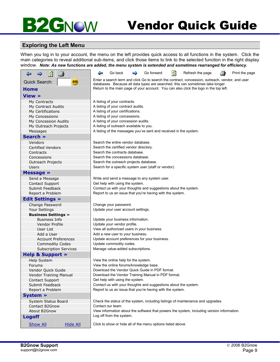### Vendor Quick Guide

#### **Exploring the Left Menu**

When you log in to your account, the menu on the left provides quick access to all functions in the system. Click the main categories to reveal additional sub-items, and click those items to link to the selected function in the right display window. *Note: As new functions are added, the menu system is extended and sometimes rearranged for efficiency.*

| ø<br>G<br>⇔<br>⇨                                       | ø<br>⇔<br>Go back<br>Go forward<br>Refresh the page<br>÷<br>Print the page<br>5                                                                                          |  |  |  |
|--------------------------------------------------------|--------------------------------------------------------------------------------------------------------------------------------------------------------------------------|--|--|--|
| <b>Quick Search:</b><br>GO.                            | Enter a search term and click Go to search the contract, concession, outreach, vendor, and user                                                                          |  |  |  |
| <b>Home</b>                                            | databases. Because all data types are searched, this can sometimes take longer.<br>Return to the main page of your account. You can also click the logo in the top left. |  |  |  |
|                                                        |                                                                                                                                                                          |  |  |  |
| <b>View »</b>                                          |                                                                                                                                                                          |  |  |  |
| My Contracts                                           | A listing of your contracts.                                                                                                                                             |  |  |  |
| My Contract Audits<br>My Certifications                | A listing of your contract audits.<br>A listing of your certifications.                                                                                                  |  |  |  |
| My Concessions                                         | A listing of your concessions.                                                                                                                                           |  |  |  |
| My Concession Audits                                   | A listing of your concession audits.                                                                                                                                     |  |  |  |
| My Outreach Projects                                   | A listing of outreach available to you.                                                                                                                                  |  |  |  |
| Messages                                               | A listing of the messages you've sent and received in the system.                                                                                                        |  |  |  |
| Search »                                               |                                                                                                                                                                          |  |  |  |
| Vendors                                                | Search the entire vendor database.                                                                                                                                       |  |  |  |
| <b>Certified Vendors</b>                               | Search the certified vendor directory.                                                                                                                                   |  |  |  |
| Contracts                                              | Search the contracts database.                                                                                                                                           |  |  |  |
| Concessions                                            | Search the concessions database.                                                                                                                                         |  |  |  |
| Outreach Projects                                      | Search the outreach projects database.                                                                                                                                   |  |  |  |
| <b>Users</b>                                           | Search for a specific system user (staff or vendor).                                                                                                                     |  |  |  |
| Message $\gg$                                          |                                                                                                                                                                          |  |  |  |
| Send a Message                                         | Write and send a message to any system user.                                                                                                                             |  |  |  |
| <b>Contact Support</b>                                 | Get help with using the system.                                                                                                                                          |  |  |  |
| Submit Feedback                                        | Contact us with your thoughts and suggestions about the system.                                                                                                          |  |  |  |
| Report a Problem                                       | Report to us an issue that you're having with the system.                                                                                                                |  |  |  |
| <b>Edit Settings »</b>                                 |                                                                                                                                                                          |  |  |  |
| Change Password                                        | Change your password.                                                                                                                                                    |  |  |  |
| Your Settings                                          | Update your user account settings.                                                                                                                                       |  |  |  |
| <b>Business Settings »</b>                             |                                                                                                                                                                          |  |  |  |
| <b>Business Info</b>                                   | Update your business information.                                                                                                                                        |  |  |  |
| Vendor Profile                                         | Update your vendor profile.                                                                                                                                              |  |  |  |
| User List                                              | View all authorized users in your business.                                                                                                                              |  |  |  |
| Add a User                                             | Add a new user to your business.                                                                                                                                         |  |  |  |
| <b>Account Preferences</b>                             | Update account preferences for your business.                                                                                                                            |  |  |  |
| <b>Commodity Codes</b><br><b>Subscription Services</b> | Update commodity codes.<br>Manage value-added subscriptions.                                                                                                             |  |  |  |
|                                                        |                                                                                                                                                                          |  |  |  |
| <b>Help &amp; Support »</b>                            |                                                                                                                                                                          |  |  |  |
| Help System                                            | View the online help for the system.                                                                                                                                     |  |  |  |
| Forums                                                 | View the online forums/knowledge base.<br>Download the Vendor Quick Guide in PDF format.                                                                                 |  |  |  |
| Vendor Quick Guide                                     |                                                                                                                                                                          |  |  |  |
| Vendor Training Manual<br><b>Contact Support</b>       | Download the Vendor Training Manual in PDF format.                                                                                                                       |  |  |  |
| Submit Feedback                                        | Get help with using the system.<br>Contact us with your thoughts and suggestions about the system.                                                                       |  |  |  |
| Report a Problem                                       | Report to us an issue that you're having with the system.                                                                                                                |  |  |  |
| System »                                               |                                                                                                                                                                          |  |  |  |
| System Status Board                                    |                                                                                                                                                                          |  |  |  |
| Contact B2Gnow                                         | Check the status of the system, including listings of maintenance and upgrades.<br>Contact our team.                                                                     |  |  |  |
| About B2Gnow                                           | View information about the software that powers the system, including version information.                                                                               |  |  |  |
| <b>Logoff</b>                                          | Log off from the system.                                                                                                                                                 |  |  |  |
| <b>Show All</b><br><b>Hide All</b>                     | Click to show or hide all of the menu options listed above                                                                                                               |  |  |  |
|                                                        |                                                                                                                                                                          |  |  |  |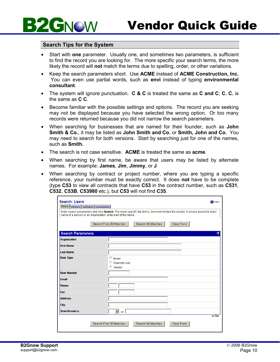

#### **Search Tips for the System**

- Start with **one** parameter. Usually one, and sometimes two parameters, is sufficient to find the record you are looking for. The more specific your search terms, the more likely the record will **not** match the terms due to spelling, order, or other variations.
- Keep the search parameters short. Use **ACME** instead of **ACME Construction, Inc.** You can even use partial words, such as **envi** instead of typing **environmental consultant**.
- The system will ignore punctuation. **C & C** is treated the same as **C and C**; **C. C.** is the same as **C C**.
- Become familiar with the possible settings and options. The record you are seeking may not be displayed because you have selected the wrong option. Or too many records were returned because you did not narrow the search parameters.
- When searching for businesses that are named for their founder, such as **John Smith & Co.**, it may be listed as **John Smith and Co.** or **Smith, John and Co.** You may need to search for both versions. Start by searching just for one of the names, such as **Smith.**
- The search is not case sensitive. **ACME** is treated the same as **acme**.
- When searching by first name, be aware that users may be listed by alternate names. For example: **James**, **Jim**, **Jimmy**, or **J**
- When searching by contract or project number, where you are typing a specific reference, your number must be exactly correct. It does **not** have to be complete (type **C53** to view all contracts that have **C53** in the contract number, such as **C531**, **C532**, **C53B**, **C53980** etc.), but **C53** will not find **C35**.

| <b>Search: Users</b><br>Users Vendors Contracts Concessions | <b>PHELP</b><br>Enter search parameters and click Search. The more specific the terms, the more limited the results. If unsure about the exact<br>name of a person or an organization, enter part of the name. |
|-------------------------------------------------------------|----------------------------------------------------------------------------------------------------------------------------------------------------------------------------------------------------------------|
|                                                             | Search First 20 Matches<br>Search All Matches<br>Clear Form                                                                                                                                                    |
| <b>Search Parameters</b>                                    |                                                                                                                                                                                                                |
| Organization                                                |                                                                                                                                                                                                                |
| <b>First Name</b>                                           |                                                                                                                                                                                                                |
| <b>Last Name</b>                                            |                                                                                                                                                                                                                |
| <b>User Type</b>                                            | C Buyer<br>C Diversity user<br>$\circ$ Vendor                                                                                                                                                                  |
| <b>User Number</b>                                          |                                                                                                                                                                                                                |
| <b>Email</b>                                                |                                                                                                                                                                                                                |
| Phone                                                       |                                                                                                                                                                                                                |
| Fax                                                         |                                                                                                                                                                                                                |
| <b>Address</b>                                              |                                                                                                                                                                                                                |
| City                                                        |                                                                                                                                                                                                                |
| <b>State/Province</b>                                       | ▾╎<br>or I                                                                                                                                                                                                     |
|                                                             | $\Delta$ Top<br>Search First 20 Matches<br>Search All Matches<br>Clear Form                                                                                                                                    |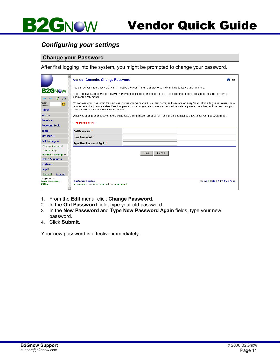### Vendor Quick Guide

#### *Configuring your settings*

#### **Change your Password**

**B2GNOW** 

After first logging into the system, you might be prompted to change your password.

|                                                 | Vendor Console: Change Password<br><b>PHELP</b>                                                                                                                                                                                                                                                                                             |  |  |  |  |
|-------------------------------------------------|---------------------------------------------------------------------------------------------------------------------------------------------------------------------------------------------------------------------------------------------------------------------------------------------------------------------------------------------|--|--|--|--|
|                                                 | You can select a new password, which must be between 3 and 15 characters, and can include letters and numbers.                                                                                                                                                                                                                              |  |  |  |  |
| <b>B2GNOW</b><br>4                              | Make your password something easy to remember, but difficult for others to quess. For security purposes, it's a good idea to change your<br>password every month.                                                                                                                                                                           |  |  |  |  |
| Quick<br>GO.<br>Search:<br><b>Home</b>          | Do not make your password the same as your username or your first or last name, as these are too easy for an intruder to quess. Never share<br>your password with anyone else. If another person in your organization needs access to the system, please contact us, and we can show you<br>how to set up a an additional account for them. |  |  |  |  |
| View »                                          | When you change your password, you will receive a confirmation email or fax. You can also contact B2Gnow to get your password reset.                                                                                                                                                                                                        |  |  |  |  |
| Search »                                        | * required text                                                                                                                                                                                                                                                                                                                             |  |  |  |  |
| <b>Reporting Tools</b>                          |                                                                                                                                                                                                                                                                                                                                             |  |  |  |  |
| Tools »                                         | Old Password *                                                                                                                                                                                                                                                                                                                              |  |  |  |  |
| Message »                                       | New Password *                                                                                                                                                                                                                                                                                                                              |  |  |  |  |
| <b>Edit Settings »</b>                          | Type New Password Again *                                                                                                                                                                                                                                                                                                                   |  |  |  |  |
| Change Password                                 |                                                                                                                                                                                                                                                                                                                                             |  |  |  |  |
| Your Settings                                   | Save<br>Cancel                                                                                                                                                                                                                                                                                                                              |  |  |  |  |
| <b>Business Settings &gt;&gt;</b>               |                                                                                                                                                                                                                                                                                                                                             |  |  |  |  |
| <b>Help &amp; Support »</b>                     |                                                                                                                                                                                                                                                                                                                                             |  |  |  |  |
| System »                                        |                                                                                                                                                                                                                                                                                                                                             |  |  |  |  |
| Logoff                                          |                                                                                                                                                                                                                                                                                                                                             |  |  |  |  |
| Show All<br>Hide All                            |                                                                                                                                                                                                                                                                                                                                             |  |  |  |  |
| Logged on as:<br>Dawn Raymond,<br><b>B2Gnow</b> | <b>Customer Service</b><br>Home   Help   Print This Page<br>Copyright @ 2006 B2Gnow. All rights reserved.                                                                                                                                                                                                                                   |  |  |  |  |

- 1. From the **Edit** menu, click **Change Password**.
- 2. In the **Old Password** field, type your old password.
- 3. In the **New Password** and **Type New Password Again** fields, type your new password.
- 4. Click **Submit**.

Your new password is effective immediately.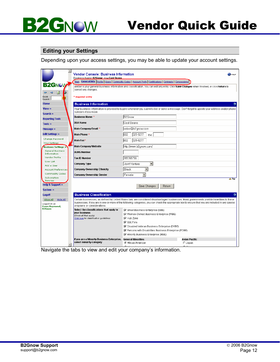

#### **Editing your Settings**

Depending upon your access settings, you may be able to update your account settings.

| $\blacktriangle$<br><b>B2GNOW</b>           | <b>Vendor Console: Business Information</b><br>Business Name: B2Gnow DRA Cool Beans                                                                                                                                                                                                                                              | $2$ <b>HELP</b><br>Main General Info Profile Users Commodity Codes Account Prefs Certifications Contracts Concessions                         |  |  |  |
|---------------------------------------------|----------------------------------------------------------------------------------------------------------------------------------------------------------------------------------------------------------------------------------------------------------------------------------------------------------------------------------|-----------------------------------------------------------------------------------------------------------------------------------------------|--|--|--|
| $\bullet$<br>⇛<br>Quick<br>Search:          | cancel any changes.<br>* required entry                                                                                                                                                                                                                                                                                          | Below is your general business information and classification. You can edit any entry. Click Save Changes when finished, or click Return to   |  |  |  |
| <b>Home</b>                                 | <b>Business Information</b>                                                                                                                                                                                                                                                                                                      |                                                                                                                                               |  |  |  |
| View »<br>Search »                          | numbers if you move.                                                                                                                                                                                                                                                                                                             | Your business information is provided to buyers whenever you submit a bid or send a message. Don't forget to update your address and/or phone |  |  |  |
|                                             | Business Name *                                                                                                                                                                                                                                                                                                                  | B <sub>2</sub> Gnow                                                                                                                           |  |  |  |
| <b>Reporting Tools</b><br>Tools »           | <b>DBA Name</b>                                                                                                                                                                                                                                                                                                                  | <b>Cool Beans</b>                                                                                                                             |  |  |  |
| Message »                                   | Main Company Email *                                                                                                                                                                                                                                                                                                             | sales@b2qnow.com                                                                                                                              |  |  |  |
| <b>Edit Settings »</b>                      | Main Phone *                                                                                                                                                                                                                                                                                                                     | 325-9277<br>1602<br>Ext.                                                                                                                      |  |  |  |
| Change Password                             | Main Fax*                                                                                                                                                                                                                                                                                                                        | 325-9277<br>1602                                                                                                                              |  |  |  |
| Your Settings<br><b>Business Settings »</b> | Main Company Website                                                                                                                                                                                                                                                                                                             | http://www.b2gnow.com/                                                                                                                        |  |  |  |
| <b>General Business</b><br>Information      | <b>DUNS Number</b>                                                                                                                                                                                                                                                                                                               |                                                                                                                                               |  |  |  |
| Vendor Profile                              | <b>Tax ID Number</b>                                                                                                                                                                                                                                                                                                             | 765765756                                                                                                                                     |  |  |  |
| <b>User List</b>                            | Company Type                                                                                                                                                                                                                                                                                                                     | $\vert$<br>Joint Venture                                                                                                                      |  |  |  |
| Add a User<br><b>Account Preferences</b>    | <b>Company Ownership Ethnicity</b>                                                                                                                                                                                                                                                                                               | Black<br>$\blacktriangledown$                                                                                                                 |  |  |  |
| Commodity Codes                             | Company Ownership Gender                                                                                                                                                                                                                                                                                                         | $\blacktriangledown$<br>Female                                                                                                                |  |  |  |
| Subscription                                |                                                                                                                                                                                                                                                                                                                                  | $\triangle$ Top                                                                                                                               |  |  |  |
| Services<br><b>Help &amp; Support »</b>     |                                                                                                                                                                                                                                                                                                                                  |                                                                                                                                               |  |  |  |
| System »                                    |                                                                                                                                                                                                                                                                                                                                  | Save Changes<br>Return                                                                                                                        |  |  |  |
|                                             | <b>Business Classification</b>                                                                                                                                                                                                                                                                                                   |                                                                                                                                               |  |  |  |
| Logoff<br>Hide All                          |                                                                                                                                                                                                                                                                                                                                  |                                                                                                                                               |  |  |  |
| Show All<br>Logged on as:<br>Dawn Raymond,  | Certain businesses, as defined by United States law, are considered disadvantaged businesses. Many governments provide incentives to these<br>businesses. If you are in one or more of the following categories, you can check the appropriate box to ensure that you are included in any special<br>programs or considerations. |                                                                                                                                               |  |  |  |
| <b>B2Gnow</b>                               | Select the classifications that apply to                                                                                                                                                                                                                                                                                         | <b>▽</b> Small Business Enterprise (SBE)                                                                                                      |  |  |  |
|                                             | your business<br>(Check all that apply)                                                                                                                                                                                                                                                                                          | Voman-Owned Business Enterprise (WBE)                                                                                                         |  |  |  |
|                                             | Click here for classification guidelines                                                                                                                                                                                                                                                                                         | <b>⊽</b> Hub Zone                                                                                                                             |  |  |  |
|                                             |                                                                                                                                                                                                                                                                                                                                  | $\nabla$ 8(A) Firm                                                                                                                            |  |  |  |
|                                             |                                                                                                                                                                                                                                                                                                                                  | Disabled Veteran Business Enterprise (DVBE)<br>○ Persons with Disabilities Business Enterprise (PDBE)                                         |  |  |  |
|                                             |                                                                                                                                                                                                                                                                                                                                  | Minority Business Enterprise (MBE)                                                                                                            |  |  |  |
|                                             | If you are a Minority Business Enterprise,                                                                                                                                                                                                                                                                                       | Asian Pacific<br><b>General Minorities</b>                                                                                                    |  |  |  |
|                                             | select minority category                                                                                                                                                                                                                                                                                                         | C African American<br>$\bigcirc$ Japan                                                                                                        |  |  |  |
|                                             |                                                                                                                                                                                                                                                                                                                                  |                                                                                                                                               |  |  |  |

Navigate the tabs to view and edit your company's information.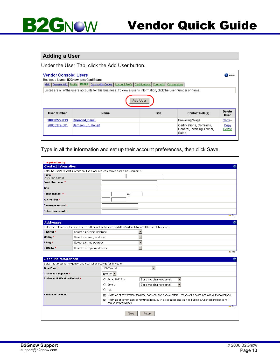#### **Adding a User**

Under the User Tab, click the Add User button.

| <b>Vendor Console: Users</b><br>Business Name: B2Gnow, DBA Cool Beans<br>Main   General Info   Profile   Users   Commodity Codes   Account Prefs   Certifications   Contracts   Concessions<br>Listed are all of the users accounts for this business. To view a user's information, click the user number or name. |                                                                                |  |                                                                   | <b>PELP</b>    |  |
|---------------------------------------------------------------------------------------------------------------------------------------------------------------------------------------------------------------------------------------------------------------------------------------------------------------------|--------------------------------------------------------------------------------|--|-------------------------------------------------------------------|----------------|--|
|                                                                                                                                                                                                                                                                                                                     |                                                                                |  |                                                                   |                |  |
|                                                                                                                                                                                                                                                                                                                     | Add User                                                                       |  |                                                                   |                |  |
| <b>Liser Number</b>                                                                                                                                                                                                                                                                                                 | <b>Delete</b><br><b>Name</b><br>Title<br><b>Contact Role(s)</b><br><b>User</b> |  |                                                                   |                |  |
| 20000279-013                                                                                                                                                                                                                                                                                                        | Raymond, Dawn                                                                  |  | Prevailing Wage                                                   | $Copy -$       |  |
| 20000279-001                                                                                                                                                                                                                                                                                                        | Samson, Jr., Robert                                                            |  | Certifications, Contracts,<br>General, Invoicing, Owner,<br>Sales | Copy<br>Delete |  |
|                                                                                                                                                                                                                                                                                                                     |                                                                                |  |                                                                   |                |  |

Type in all the information and set up their account preferences, then click Save.

|                                 |                                                                                                                                                                                                                                                                                           | Enter the user's contact information. The email address serves as the the username.                                              |  |  |
|---------------------------------|-------------------------------------------------------------------------------------------------------------------------------------------------------------------------------------------------------------------------------------------------------------------------------------------|----------------------------------------------------------------------------------------------------------------------------------|--|--|
| Name *                          |                                                                                                                                                                                                                                                                                           |                                                                                                                                  |  |  |
| (first, last name)              |                                                                                                                                                                                                                                                                                           |                                                                                                                                  |  |  |
| Email/Username *                |                                                                                                                                                                                                                                                                                           |                                                                                                                                  |  |  |
| <b>Title</b>                    |                                                                                                                                                                                                                                                                                           |                                                                                                                                  |  |  |
| <b>Phone Number *</b>           |                                                                                                                                                                                                                                                                                           | Ext.                                                                                                                             |  |  |
| Fax Number *                    |                                                                                                                                                                                                                                                                                           |                                                                                                                                  |  |  |
| Choose password *               |                                                                                                                                                                                                                                                                                           |                                                                                                                                  |  |  |
| Retype password *               |                                                                                                                                                                                                                                                                                           |                                                                                                                                  |  |  |
|                                 |                                                                                                                                                                                                                                                                                           | $\triangle$ Top                                                                                                                  |  |  |
| <b>Addresses</b>                |                                                                                                                                                                                                                                                                                           | က                                                                                                                                |  |  |
|                                 |                                                                                                                                                                                                                                                                                           |                                                                                                                                  |  |  |
| Physical *                      | Select the addresses for this user. To edit or add addresses, click the <b>Contact Info</b> tab at the top of this page.<br>Select a physical address<br>$\blacktriangledown$<br>$\overline{\phantom{a}}$<br>Select a mailing address<br>Select a billing address<br>$\blacktriangledown$ |                                                                                                                                  |  |  |
| Mailing *                       |                                                                                                                                                                                                                                                                                           |                                                                                                                                  |  |  |
| Billing *                       |                                                                                                                                                                                                                                                                                           |                                                                                                                                  |  |  |
| Shipping *                      | Select a shipping address                                                                                                                                                                                                                                                                 | $\blacktriangledown$                                                                                                             |  |  |
|                                 |                                                                                                                                                                                                                                                                                           | $\triangle$ Top                                                                                                                  |  |  |
| <b>Account Preferences</b>      |                                                                                                                                                                                                                                                                                           |                                                                                                                                  |  |  |
|                                 | Select the timezone, language, and notification settings for this user.                                                                                                                                                                                                                   |                                                                                                                                  |  |  |
| Time Zone *                     |                                                                                                                                                                                                                                                                                           | US/Central<br>$\blacktriangledown$                                                                                               |  |  |
| Preferred Language *            |                                                                                                                                                                                                                                                                                           | English •                                                                                                                        |  |  |
| Preferred Notification Method * |                                                                                                                                                                                                                                                                                           | C Email AND Fax:<br>Send me plain-text email<br>▼                                                                                |  |  |
|                                 |                                                                                                                                                                                                                                                                                           | $\overline{\phantom{a}}$<br>$C$ Email:<br>Send me plain-text email                                                               |  |  |
|                                 |                                                                                                                                                                                                                                                                                           | $C$ Fax                                                                                                                          |  |  |
| <b>Notification Options</b>     |                                                                                                                                                                                                                                                                                           | √ Notify me of new system features, services, and special offers. Uncheck the box to not receive these notices.                  |  |  |
|                                 |                                                                                                                                                                                                                                                                                           | Notify me of government communications, such as seminar and training bulletins. Uncheck the box to not<br>receive these notices. |  |  |
|                                 |                                                                                                                                                                                                                                                                                           | $\triangle$ Top                                                                                                                  |  |  |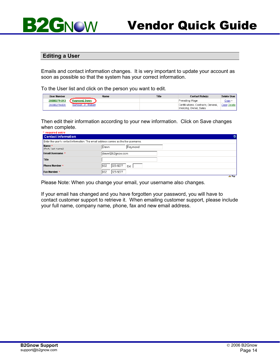### Vendor Quick Guide

#### **Editing a User**

**BZGNOW** 

Emails and contact information changes. It is very important to update your account as soon as possible so that the system has your correct information.

To the User list and click on the person you want to edit.

| <b>User Number</b> | Name                | <b>Title</b> | <b>Contact Role(s)</b>                                         | <b>Delete User</b> |
|--------------------|---------------------|--------------|----------------------------------------------------------------|--------------------|
| 20000279-013       | Raymond, Dawn       |              | Prevailing Wage                                                | Copy --            |
| 20000279-001       | Samson, Jr., Robert |              | Certifications, Contracts, General,<br>Invoicing, Owner, Sales | Copy Delete        |

Then edit their information according to your new information. Click on Save changes when complete.<br>\* required entry

| <b>Contact Information</b>   |                                                                                     |                 |
|------------------------------|-------------------------------------------------------------------------------------|-----------------|
|                              | Enter the user's contact information. The email address serves as the the username. |                 |
| Name *<br>(first, last name) | Raymond<br><b>IDawn</b>                                                             |                 |
| Email/Username *             | dawn@b2gnow.com                                                                     |                 |
| <b>Title</b>                 |                                                                                     |                 |
| <b>Phone Number *</b>        | 602<br>325-9277<br>Ext.                                                             |                 |
| <b>Fax Number *</b>          | 602<br>325-9277                                                                     |                 |
|                              |                                                                                     | $\triangle$ Top |

Please Note: When you change your email, your username also changes.

If your email has changed and you have forgotten your password, you will have to contact customer support to retrieve it. When emailing customer support, please include your full name, company name, phone, fax and new email address.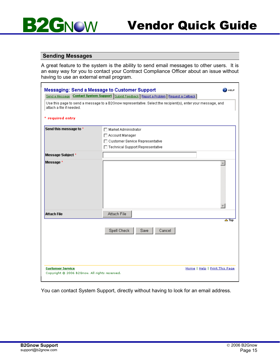

#### **Sending Messages**

A great feature to the system is the ability to send email messages to other users. It is an easy way for you to contact your Contract Compliance Officer about an issue without having to use an external email program.

| <b>Messaging: Send a Message to Customer Support</b> | <b>HELP</b>                                                                                                  |
|------------------------------------------------------|--------------------------------------------------------------------------------------------------------------|
|                                                      | Send a Message Contact System Support Submit Feedback Report a Problem Request a Caliback                    |
| attach a file if needed.<br>* required entry         | Use this page to send a message to a B2Gnow representative. Select the recipient(s), enter your message, and |
|                                                      |                                                                                                              |
| Send this message to *                               | □ Market Administrator                                                                                       |
|                                                      | □ Account Manager                                                                                            |
|                                                      | □ Customer Service Representative                                                                            |
|                                                      | □ Technical Support Representative                                                                           |
| <b>Message Subject *</b>                             |                                                                                                              |
| Message *                                            | A.                                                                                                           |
| <b>Attach File</b>                                   | Attach File                                                                                                  |
|                                                      | $\triangle$ Top<br>Spell Check<br>Save<br>Cancel                                                             |
| <b>Customer Service</b>                              | Home   Help   Print This Page                                                                                |

You can contact System Support, directly without having to look for an email address.